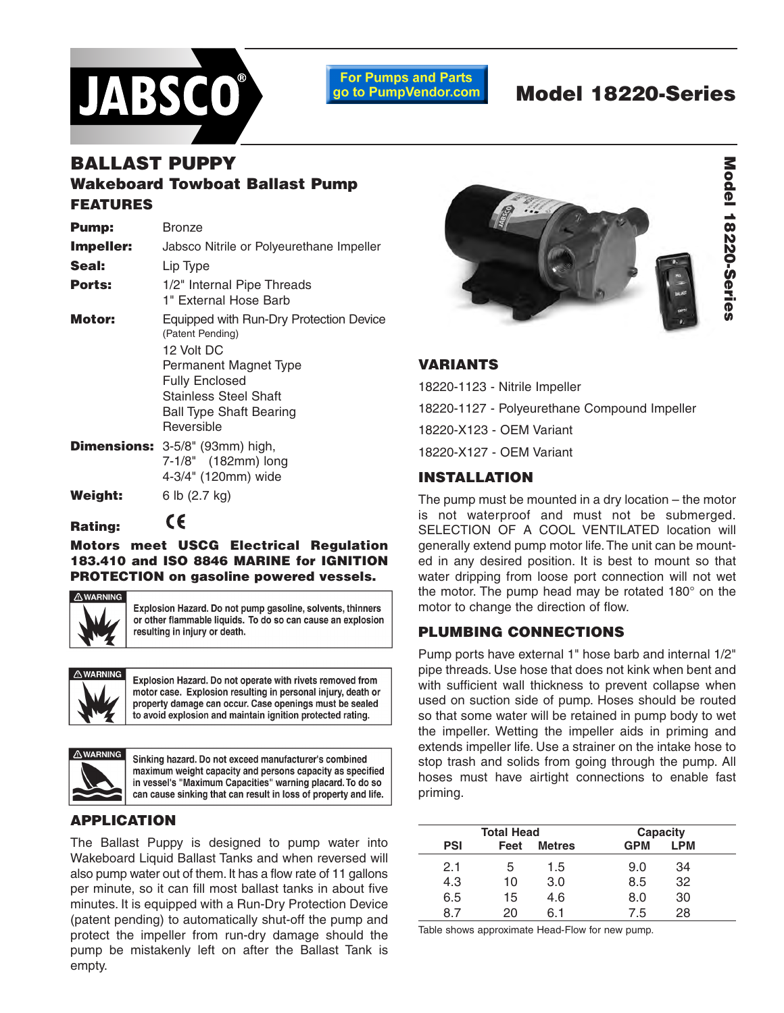

**For Pumps and Parts** go to PumpVendor.com

# **Model 18220-Series**

## **BALLAST PUPPY Wakeboard Towboat Ballast Pump FEATURES**

| <b>Pump:</b> | Bronze                                                      |
|--------------|-------------------------------------------------------------|
| Impeller:    | Jabsco Nitrile or Polyeurethane Impeller                    |
| Seal:        | Lip Type                                                    |
| Ports:       | 1/2" Internal Pipe Threads<br>1" External Hose Barb         |
| Motor:       | Equipped with Run-Dry Protection Device<br>(Patent Pending) |
|              | 12 Volt DC                                                  |
|              | Permanent Magnet Type                                       |
|              | <b>Fully Enclosed</b>                                       |
|              | <b>Stainless Steel Shaft</b>                                |
|              | <b>Ball Type Shaft Bearing</b>                              |
|              | Reversible                                                  |
|              | Dimensions: 3-5/8" (93mm) high,                             |
|              | 7-1/8" (182mm) long                                         |
|              | 4-3/4" (120mm) wide                                         |
| Weight:      | 6 lb (2.7 kg)                                               |

**Rating:**

C€

**Motors meet USCG Electrical Regulation 183.410 and ISO 8846 MARINE for IGNITION PROTECTION on gasoline powered vessels.**



Explosion Hazard. Do not pump gasoline, solvents, thinners or other flammable liquids. To do so can cause an explosion resulting in injury or death.



Explosion Hazard. Do not operate with rivets removed from motor case. Explosion resulting in personal injury, death or property damage can occur. Case openings must be sealed to avoid explosion and maintain ignition protected rating.



Sinking hazard. Do not exceed manufacturer's combined maximum weight capacity and persons capacity as specified in vessel's "Maximum Capacities" warning placard. To do so can cause sinking that can result in loss of property and life.

## **APPLICATION**

The Ballast Puppy is designed to pump water into Wakeboard Liquid Ballast Tanks and when reversed will also pump water out of them. It has a flow rate of 11 gallons per minute, so it can fill most ballast tanks in about five minutes. It is equipped with a Run-Dry Protection Device (patent pending) to automatically shut-off the pump and protect the impeller from run-dry damage should the pump be mistakenly left on after the Ballast Tank is empty.



## **VARIANTS**

18220-1123 - Nitrile Impeller 18220-1127 - Polyeurethane Compound Impeller 18220-X123 - OEM Variant 18220-X127 - OEM Variant

## **INSTALLATION**

The pump must be mounted in a dry location – the motor is not waterproof and must not be submerged. SELECTION OF A COOL VENTILATED location will generally extend pump motor life.The unit can be mounted in any desired position. It is best to mount so that water dripping from loose port connection will not wet the motor. The pump head may be rotated 180° on the motor to change the direction of flow.

## **PLUMBING CONNECTIONS**

Pump ports have external 1" hose barb and internal 1/2" pipe threads. Use hose that does not kink when bent and with sufficient wall thickness to prevent collapse when used on suction side of pump. Hoses should be routed so that some water will be retained in pump body to wet the impeller. Wetting the impeller aids in priming and extends impeller life. Use a strainer on the intake hose to stop trash and solids from going through the pump. All hoses must have airtight connections to enable fast priming.

| <b>Total Head</b> |      |               |            | Capacity |  |  |
|-------------------|------|---------------|------------|----------|--|--|
| <b>PSI</b>        | Feet | <b>Metres</b> | <b>GPM</b> | LPM      |  |  |
| 2.1               | 5    | 1.5           | 9.0        | 34       |  |  |
| 4.3               | 10   | 3.0           | 8.5        | 32       |  |  |
| 6.5               | 15   | 4.6           | 8.0        | 30       |  |  |
| 87                | 20.  | հ 1           | 7.5        | 28       |  |  |

Table shows approximate Head-Flow for new pump.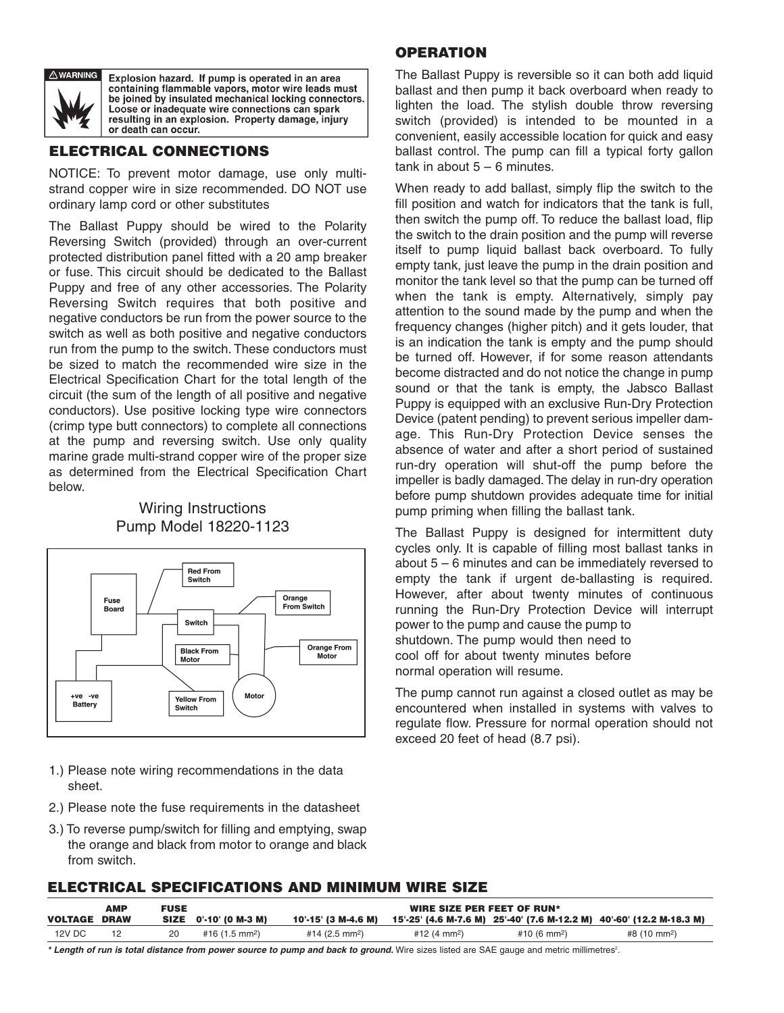

Explosion hazard. If pump is operated in an area containing flammable vapors, motor wire leads must be joined by insulated mechanical locking connectors. Loose or inadequate wire connections can spark resulting in an explosion. Property damage, injury or death can occur.

### **ECTRICAL CONNECTIONS**

NOTICE: To prevent motor damage, use only multistrand copper wire in size recommended. DO NOT use ordinary lamp cord or other substitutes

The Ballast Puppy should be wired to the Polarity Reversing Switch (provided) through an over-current protected distribution panel fitted with a 20 amp breaker or fuse. This circuit should be dedicated to the Ballast Puppy and free of any other accessories. The Polarity Reversing Switch requires that both positive and negative conductors be run from the power source to the switch as well as both positive and negative conductors run from the pump to the switch. These conductors must be sized to match the recommended wire size in the Electrical Specification Chart for the total length of the circuit (the sum of the length of all positive and negative conductors). Use positive locking type wire connectors (crimp type butt connectors) to complete all connections at the pump and reversing switch. Use only quality marine grade multi-strand copper wire of the proper size as determined from the Electrical Specification Chart below.

### Wiring Instructions Pump Model 18220-1123



- 1.) Please note wiring recommendations in the data sheet.
- 2.) Please note the fuse requirements in the datasheet
- 3.) To reverse pump/switch for filling and emptying, swap the orange and black from motor to orange and black from switch.

### **OPERATION**

The Ballast Puppy is reversible so it can both add liquid ballast and then pump it back overboard when ready to lighten the load. The stylish double throw reversing switch (provided) is intended to be mounted in a convenient, easily accessible location for quick and easy ballast control. The pump can fill a typical forty gallon tank in about  $5 - 6$  minutes.

When ready to add ballast, simply flip the switch to the fill position and watch for indicators that the tank is full, then switch the pump off. To reduce the ballast load, flip the switch to the drain position and the pump will reverse itself to pump liquid ballast back overboard. To fully empty tank, just leave the pump in the drain position and monitor the tank level so that the pump can be turned off when the tank is empty. Alternatively, simply pay attention to the sound made by the pump and when the frequency changes (higher pitch) and it gets louder, that is an indication the tank is empty and the pump should be turned off. However, if for some reason attendants become distracted and do not notice the change in pump sound or that the tank is empty, the Jabsco Ballast Puppy is equipped with an exclusive Run-Dry Protection Device (patent pending) to prevent serious impeller damage. This Run-Dry Protection Device senses the absence of water and after a short period of sustained run-dry operation will shut-off the pump before the impeller is badly damaged.The delay in run-dry operation before pump shutdown provides adequate time for initial pump priming when filling the ballast tank.

The Ballast Puppy is designed for intermittent duty cycles only. It is capable of filling most ballast tanks in about 5 – 6 minutes and can be immediately reversed to empty the tank if urgent de-ballasting is required. However, after about twenty minutes of continuous running the Run-Dry Protection Device will interrupt power to the pump and cause the pump to shutdown. The pump would then need to cool off for about twenty minutes before normal operation will resume.

The pump cannot run against a closed outlet as may be encountered when installed in systems with valves to regulate flow. Pressure for normal operation should not exceed 20 feet of head (8.7 psi).

#### **ELECTRICAL SPECIFICATIONS AND MINIMUM WIRE SIZE**

|                     | АМР | <b>FUSE</b> |                          | WIRE SIZE PER FEET OF RUN* |                          |                          |                                                                      |
|---------------------|-----|-------------|--------------------------|----------------------------|--------------------------|--------------------------|----------------------------------------------------------------------|
| <b>VOLTAGE DRAW</b> |     |             | SIZE 0'-10' (0 M-3 M)    | 10'-15' (3 M-4.6 M)        |                          |                          | 15'-25' (4.6 M-7.6 M) 25'-40' (7.6 M-12.2 M) 40'-60' (12.2 M-18.3 M) |
| <b>12V DC</b>       |     | 20          | #16 $(1.5 \text{ mm}^2)$ | #14 (2.5 mm <sup>2</sup> ) | #12 (4 mm <sup>2</sup> ) | #10 (6 mm <sup>2</sup> ) | #8 (10 mm <sup>2</sup> )                                             |

\* Length of run is total distance from power source to pump and back to ground. Wire sizes listed are SAE gauge and metric millimetres<sup>2</sup>.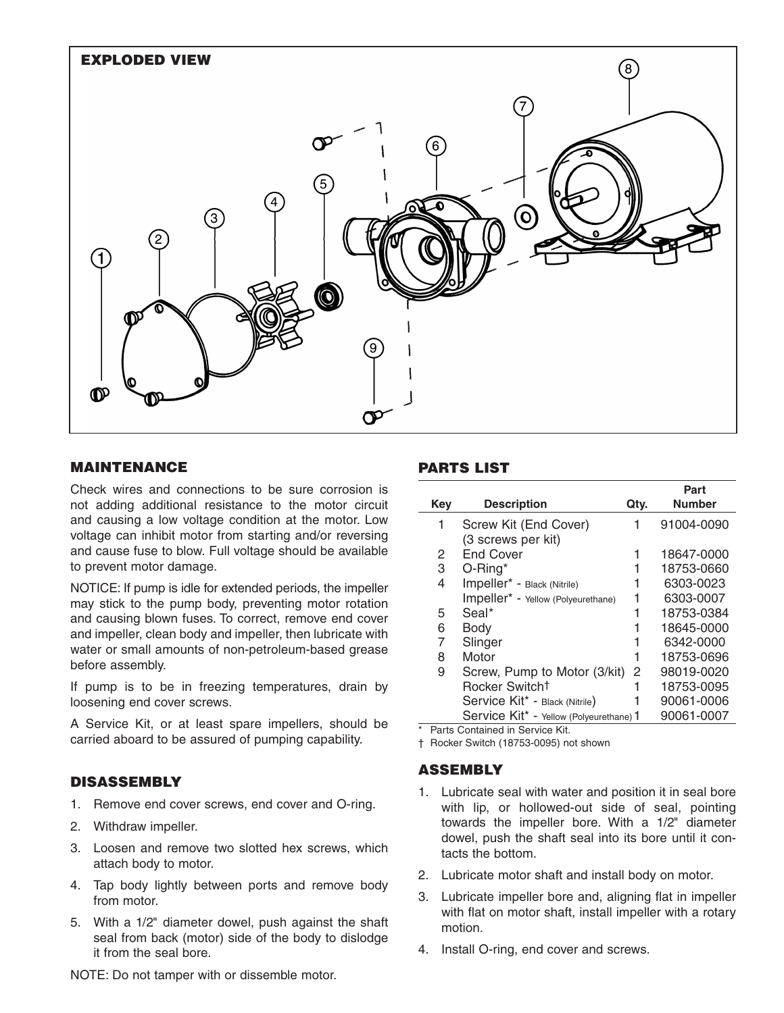

#### **MAINTENANCE**

Check wires and connections to be sure corrosion is not adding additional resistance to the motor circuit and causing a low voltage condition at the motor. Low voltage can inhibit motor from starting and/or reversing and cause fuse to blow. Full voltage should be available to prevent motor damage.

NOTICE: If pump is idle for extended periods, the impeller may stick to the pump body, preventing motor rotation and causing blown fuses. To correct, remove end cover and impeller, clean body and impeller, then lubricate with water or small amounts of non-petroleum-based grease before assembly.

If pump is to be in freezing temperatures, drain by loosening end cover screws.

A Service Kit, or at least spare impellers, should be carried aboard to be assured of pumping capability.

#### **DISASSEMBLY**

- 1. Remove end cover screws, end cover and O-ring.
- 2. Withdraw impeller.
- 3. Loosen and remove two slotted hex screws, which attach body to motor.
- 4. Tap body lightly between ports and remove body from motor.
- 5. With a 1/2" diameter dowel, push against the shaft seal from back (motor) side of the body to dislodge it from the seal bore.

NOTE: Do not tamper with or dissemble motor.

### **PARTS LIST**

| Key | <b>Description</b>                      | Qty. | Part<br><b>Number</b> |
|-----|-----------------------------------------|------|-----------------------|
| 1   | Screw Kit (End Cover)                   | 1    | 91004-0090            |
|     | (3 screws per kit)                      |      |                       |
| 2   | <b>End Cover</b>                        |      | 18647-0000            |
| 3   | $O$ -Ring*                              |      | 18753-0660            |
| 4   | Impeller* - Black (Nitrile)             |      | 6303-0023             |
|     | Impeller* - Yellow (Polyeurethane)      |      | 6303-0007             |
| 5   | Seal*                                   |      | 18753-0384            |
| 6   | Body                                    |      | 18645-0000            |
| 7   | Slinger                                 |      | 6342-0000             |
| 8   | Motor                                   |      | 18753-0696            |
| 9   | Screw, Pump to Motor (3/kit)            | 2    | 98019-0020            |
|     | Rocker Switch <sup>†</sup>              |      | 18753-0095            |
|     | Service Kit* - Black (Nitrile)          |      | 90061-0006            |
|     | Service Kit* - Yellow (Polyeurethane) 1 |      | 90061-0007            |

\* Parts Contained in Service Kit.

† Rocker Switch (18753-0095) not shown

#### **ASSEMBLY**

- 1. Lubricate seal with water and position it in seal bore with lip, or hollowed-out side of seal, pointing towards the impeller bore. With a 1/2" diameter dowel, push the shaft seal into its bore until it contacts the bottom.
- 2. Lubricate motor shaft and install body on motor.
- 3. Lubricate impeller bore and, aligning flat in impeller with flat on motor shaft, install impeller with a rotary motion.
- 4. Install O-ring, end cover and screws.